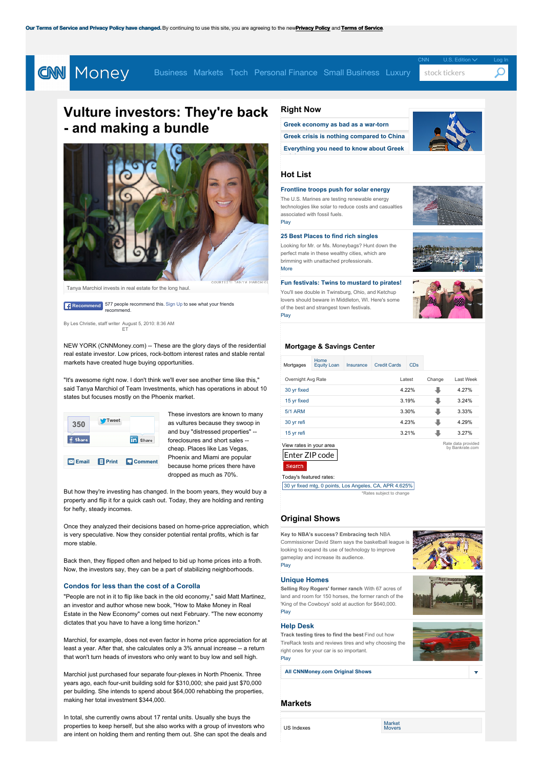## <span id="page-0-0"></span>[CNN](http://cnn.com) U.S. Edition  $\sqrt{}$  [Log](javascript:void(0)) In **CNN** Money [Business](/smallbusiness/) [Markets](/markets/) [Tech](/technology/) [Personal](/pf/) Finance Small Business [Luxury](/luxury/) stock tickers

# **Vulture [investors](/gallery/technology/2015/07/02/best-travel-startups/index.html): Th[ey're](/media/) back - and making a bundl[e](/news/companies/)**



Tanya Marchiol invests in real estate for the long haul.

**Recommend** 577 people recommend this. Sign Up to see what your friends recommend.

By Les Christie, staff writer August 5, 2010: 8:36 AM ET

NEW YORK (CNNMoney.com) -- These are the glory days of the residential real estate investor. Low prices, rock-bottom interest rates and stable rental markets have created huge buying opportunities.

"It's awesome right now. I don't think we'll ever see another time like this," said Tanya Marchiol of Team Investments, which has operations in about 10 states but focuses mostly on the Phoenix market.



These investors are known to many as vultures because they swoop in and buy "distressed properties" - foreclosures and short sales - cheap. Places like Las Vegas Phoenix and Miami are popular because home prices there have dropped as much as 70%.

But how they're investing has changed. In the boom years, they would buy a property and flip it for a quick cash out. Today, they are holding and renting for hefty, steady incomes.

Once they analyzed their decisions based on home-price appreciation, which is very speculative. Now they consider potential rental profits, which is far more stable.

Back then, they flipped often and helped to bid up home prices into a froth. Now, the investors say, they can be a part of stabilizing neighborhoods.

### **[Condos](/galleries/2010/real_estate/1007/gallery.condos_for_less_than_cars/) for less than the cost of a Corolla**

"People are not in it to flip like back in the old economy," said Matt Martinez, an investor and author whose new book, "How to Make Money in Real Estate in the New Economy" comes out next February. "The new economy dictates that you have to have a long time horizon."

Marchiol, for example, does not even factor in home price appreciation for at least a year. After that, she calculates only a 3% annual increase -- a return that won't turn heads of investors who only want to buy low and sell high.

Marchiol just purchased four separate four-plexes in North Phoenix. Three years ago, each four-unit building sold for \$310,000; she paid just \$70,000 per building. She intends to spend about \$64,000 rehabbing the properties, making her total investment \$344,000.

In total, she currently owns about 17 rental units. Usually she buys the properties to keep herself, but she also works with a group of investors who are intent on holding them and renting them out. She can spot the deals and

## **[Rig](/news/world/)[ht](/data/premarket/) Now**



## **Hot [List](/data/world_markets/americas/)**

**[crisis](/data/afterhours/)**

**[Frontline](/video/technology/2011/08/18/t_bst_marines_solar_afghanistan_iraq.cnnmoney) troops push for solar energy** The U.S. Marines are testing renewable energy technologies like solar to reduce costs and casualties associated with fossil fuels. [Play](/video/technology/2011/08/18/t_bst_marines_solar_afghanistan_iraq.cnnmoney)

#### **25 Best Places to find rich [singles](/galleries/2011/moneymag/1108/gallery.best_places_rich_single.moneymag/)**

Looking for Mr. or Ms. Moneybags? Hunt down the perfect mate in these wealthy cities, which are brimming with unattached professionals. [More](/galleries/2011/moneymag/1108/gallery.best_places_rich_single.moneymag/)

#### **Fun [festivals:](/video/pf/2011/08/12/pf_bpl_festivals.moneymag) Twins to mustard to pirates!**

You'll see double in Twinsburg, Ohio, and Ketchup lovers should beware in Middleton, WI. Here's some of the best and strangest town festivals. [Play](/video/pf/2011/08/12/pf_bpl_festivals.moneymag)



## **[Mortgage](/pf/loan_center/) & Savings Center**

| Mortgages                                           | Home<br><b>Equity Loan</b> | Insurance | <b>Credit Cards</b> | <b>CD<sub>s</sub></b> |        |                                       |
|-----------------------------------------------------|----------------------------|-----------|---------------------|-----------------------|--------|---------------------------------------|
| Overnight Avg Rate                                  |                            |           |                     | Latest                | Change | Last Week                             |
| 30 yr fixed                                         |                            |           |                     | 4.22%                 |        | 4.27%                                 |
| 15 yr fixed                                         |                            |           |                     | 3.19%                 |        | 3.24%                                 |
| <b>5/1 ARM</b>                                      |                            |           |                     | 3.30%                 |        | 3.33%                                 |
| 30 yr refi                                          |                            |           |                     | 4.23%                 |        | 4.29%                                 |
| 15 yr refi                                          |                            |           |                     | 3.21%                 |        | 3.27%                                 |
| View rates in your area<br>Enter ZIP code<br>Search |                            |           |                     |                       |        | Rate data provided<br>by Bankrate.com |
| Today's featured rates:                             |                            |           |                     |                       |        |                                       |

\*Rates subject to [change](http://www.bankrate.com/funnel/mortgages/mortgage-results.aspx?pid=p:cnn&market=4&loan=200000.00&prods=166&points=Zero) 30 yr fixed mtg, 0 points, Los [Angeles,](http://www.bankrate.com/funnel/mortgages/mortgage-results.aspx?pid=p:cnn&market=4&loan=200000.00&prods=166&points=Zero) CA, APR 4.625%

## **[Original](/video/series/) Shows**

**Key to NBA's success? [Embracing](http://www.bankrate.com/funnel/mortgages/mortgage-results.aspx?pid=p:cnn&market=16&loan=200000.00&prods=182&points=Zero) tech** NBA [Commissioner](http://www.bankrate.com/funnel/mortgages/mortgage-results.aspx?pid=p:cnn&market=26&loan=418000.00&prods=194&points=Zero) David Stern says the basketball leag looking to expand its use of technology to improve gameplay and increase its audience. [Play](/video/technology/2012/07/23/bst-stern-nba-tech.fortune)

#### **[Unique](/video/pf/2012/07/19/pf-uh-roy-rogers-ranch.cnnmoney) Homes**

**Selling Roy [Rogers'](/video/pf/2012/07/19/pf-uh-roy-rogers-ranch.cnnmoney) former ranch** With 67 acres of land and room for 150 horses, the former ranch of the 'King of the Cowboys' sold at auction for \$640,000. [Play](/video/pf/2012/07/19/pf-uh-roy-rogers-ranch.cnnmoney)

#### **Help [Desk](/video/pf/2012/07/18/pf-w-hd-tire-rack.cnnmoney)**

**Track [testing](/video/pf/2012/07/18/pf-w-hd-tire-rack.cnnmoney) tires to find the best** Find out how TireRack tests and reviews tires and why choosing the right ones for your car is so important. [Play](/video/pf/2012/07/18/pf-w-hd-tire-rack.cnnmoney)

**All [CNNMoney.com](/video/series/) Original Shows**

## **Markets**

US [Indexes](javascript:showNavTab()

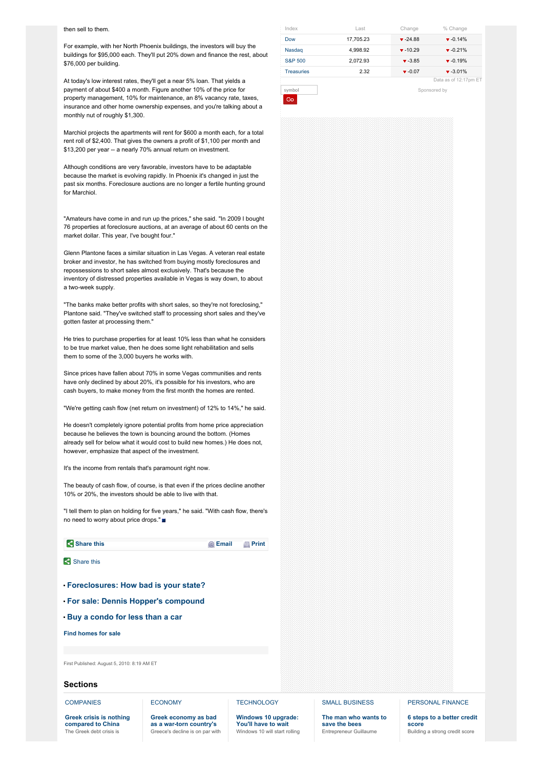<span id="page-1-0"></span>For example, with her North Phoenix buildings, the investors will buy the buildings for \$95,000 each. They'll put 20% down and finance the rest, about \$76,000 per building.

At today's low interest rates, they'll get a near 5% loan. That yields a payment of about \$400 a month. Figure another 10% of the price for property management, 10% for maintenance, an 8% vacancy rate, taxes, insurance and other home ownership expenses, and you're talking about a monthly nut of roughly \$1,300.

Marchiol projects the apartments will rent for \$600 a month each, for a total rent roll of \$2,400. That gives the owners a profit of \$1,100 per month and \$13,200 per year -- a nearly 70% annual return on investment.

Although conditions are very favorable, investors have to be adaptable because the market is evolving rapidly. In Phoenix it's changed in just the past six months. Foreclosure auctions are no longer a fertile hunting ground for Marchiol.

"Amateurs have come in and run up the prices," she said. "In 2009 I bought 76 properties at foreclosure auctions, at an average of about 60 cents on the market dollar. This year, I've bought four."

Glenn Plantone faces a similar situation in Las Vegas. A veteran real estate broker and investor, he has switched from buying mostly foreclosures and repossessions to short sales almost exclusively. That's because the inventory of distressed properties available in Vegas is way down, to about a two-week supply.

"The banks make better profits with short sales, so they're not foreclosing," Plantone said. "They've switched staff to processing short sales and they've gotten faster at processing them."

He tries to purchase properties for at least 10% less than what he considers to be true market value, then he does some light rehabilitation and sells them to some of the 3,000 buyers he works with.

Since prices have fallen about 70% in some Vegas communities and rents have only declined by about 20%, it's possible for his investors, who are cash buyers, to make money from the first month the homes are rented.

"We're getting cash flow (net return on investment) of 12% to 14%," he said.

He doesn't completely ignore potential profits from home price appreciation because he believes the town is bouncing around the bottom. (Homes already sell for below what it would cost to build new homes.) He does not, however, emphasize that aspect of the investment.

It's the income from rentals that's paramount right now.

The beauty of cash flow, of course, is that even if the prices decline another 10% or 20%, the investors should be able to live with that.

"I tell them to plan on holding for five years," he said. "With cash flow, there's no need to worry about price drops."



## **Sections**

**[COMPANIES](/news/companies/)** 

## **[ECONOMY](/news/economy/)**

**Greek crisis is nothing [compared](/2015/07/06/investing/stocks-market-china-greece/index.html) to China** The Greek debt crisis is

**[TECHNOLOGY](/technology/)** 

#### **Greek [economy](/2015/07/06/news/economy/greece-economy-warn-torn-country-depression/index.html) as bad as a war-torn country's** Greece's decline is on par with **[Windows](/2015/07/02/technology/when-will-windows-10-be-available/index.html) 10 upgrade:**

**You'll have to wait** Windows 10 will start rolling SMALL [BUSINESS](/smallbusiness/)

**The man who [wants](/2015/06/30/smallbusiness/bee-sanctuary/index.html) to save the bees** Entrepreneur Guillaume

## [PERSONAL](/pf/) FINANCE

**6 steps to a [better](/2015/07/06/pf/better-credit-score/index.html) credit score** Building a strong credit score

| symbol            |           | Sponsored by |                             |  |
|-------------------|-----------|--------------|-----------------------------|--|
|                   |           |              | Data as of 12:17pm ET       |  |
| <b>Treasuries</b> | 2.32      | $-0.07$      | $-3.01%$                    |  |
| S&P 500           | 2.072.93  | $-3.85$      | $-0.19%$                    |  |
| Nasdag            | 4.998.92  | $-10.29$     | $\blacktriangledown$ -0.21% |  |
| Dow               | 17.705.23 | $-24.88$     | $-0.14%$                    |  |
| Index             | Last      | Change       | % Change                    |  |